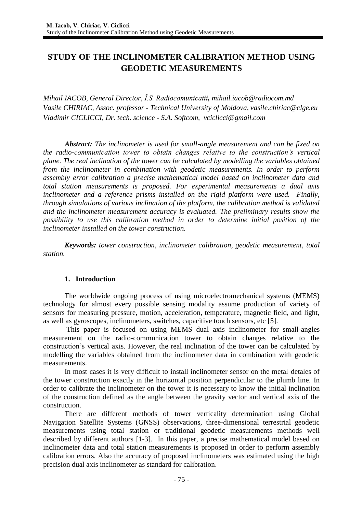# **STUDY OF THE INCLINOMETER CALIBRATION METHOD USING GEODETIC MEASUREMENTS**

*Mihail IACOB, General Director, Î.S. Radiocomunicatii, [mihail.iacob@radiocom.md](mailto:mihail.iacob@radiocom.md) Vasile CHIRIAC, Assoc. professor - Technical University of Moldova, [vasile.chiriac@clge.eu](mailto:vasile.chiriac@clge.eu) Vladimir CICLICCI, Dr. tech. science - S.A. Softcom, [vciclicci@gmail.com](mailto:vciclicci@gmail.com)*

*Abstract: The inclinometer is used for small-angle measurement and can be fixed on the radio-communication tower to obtain changes relative to the construction's vertical plane. The real inclination of the tower can be calculated by modelling the variables obtained from the inclinometer in combination with geodetic measurements. In order to perform assembly error calibration a precise mathematical model based on inclinometer data and total station measurements is proposed. For experimental measurements a dual axis inclinometer and a reference prisms installed on the rigid platform were used. Finally, through simulations of various inclination of the platform, the calibration method is validated and the inclinometer measurement accuracy is evaluated. The preliminary results show the possibility to use this calibration method in order to determine initial position of the inclinometer installed on the tower construction.*

*Keywords: tower construction, inclinometer calibration, geodetic measurement, total station.*

### **1. Introduction**

The worldwide ongoing process of using microelectromechanical systems (MEMS) technology for almost every possible sensing modality assume production of variety of sensors for measuring pressure, motion, acceleration, temperature, magnetic field, and light, as well as gyroscopes, inclinometers, switches, capacitive touch sensors, etc [5].

This paper is focused on using MEMS dual axis inclinometer for small-angles measurement on the radio-communication tower to obtain changes relative to the construction's vertical axis. However, the real inclination of the tower can be calculated by modelling the variables obtained from the inclinometer data in combination with geodetic measurements.

In most cases it is very difficult to install inclinometer sensor on the metal detales of the tower construction exactly in the horizontal position perpendicular to the plumb line. In order to calibrate the inclinometer on the tower it is necessary to know the initial inclination of the construction defined as the angle between the gravity vector and vertical axis of the construction.

There are different methods of tower verticality determination using Global Navigation Satellite Systems (GNSS) observations, three-dimensional terrestrial geodetic measurements using total station or traditional geodetic measurements methods well described by different authors [1-3]. In this paper, a precise mathematical model based on inclinometer data and total station measurements is proposed in order to perform assembly calibration errors. Also the accuracy of proposed inclinometers was estimated using the high precision dual axis inclinometer as standard for calibration.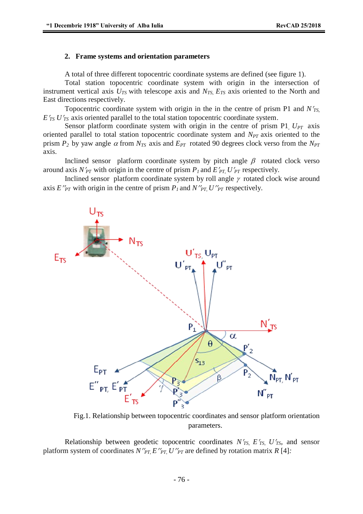#### **2. Frame systems and orientation parameters**

A total of three different topocentric coordinate systems are defined (see figure 1).

Total station topocentric coordinate system with origin in the intersection of instrument vertical axis  $U_{TS}$  with telescope axis and  $N_{TS}$ ,  $E_{TS}$  axis oriented to the North and East directions respectively.

Topocentric coordinate system with origin in the in the centre of prism P1 and *NTS,*   $E'_{TS} U'_{TS}$  axis oriented parallel to the total station topocentric coordinate system.

Sensor platform coordinate system with origin in the centre of prism P1 *U<sub>PT</sub>* axis oriented parallel to total station topocentric coordinate system and *NPT* axis oriented to the prism  $P_2$  by yaw angle  $\alpha$  from  $N_{TS}$  axis and  $E_{PT}$  rotated 90 degrees clock verso from the  $N_{PT}$ axis.

Inclined sensor platform coordinate system by pitch angle  $\beta$  rotated clock verso around axis  $N'_{PT}$  with origin in the centre of prism  $P_I$  and  $E'_{PT}$ ,  $U'_{PT}$  respectively.

Inclined sensor platform coordinate system by roll angle  $\gamma$  rotated clock wise around axis  $E''_{PT}$  with origin in the centre of prism  $P_I$  and  $N''_{PT}$ ,  $U''_{PT}$  respectively.



Fig.1. Relationship between topocentric coordinates and sensor platform orientation parameters.

Relationship between geodetic topocentric coordinates  $N'_{TS}$ ,  $E'_{TS}$ ,  $U'_{TS}$ , and sensor platform system of coordinates  $N''_{PT}E''_{PT}U''_{PT}$  are defined by rotation matrix  $R$  [4]: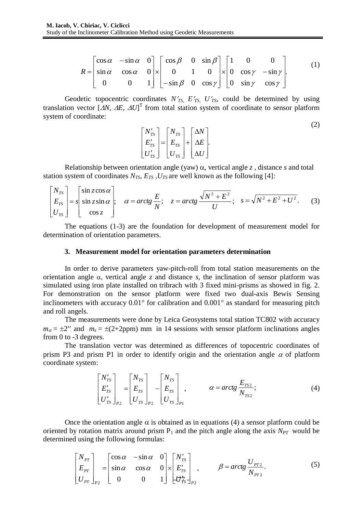$$
R = \begin{bmatrix} \cos \alpha & -\sin \alpha & 0 \\ \sin \alpha & \cos \alpha & 0 \\ 0 & 0 & 1 \end{bmatrix} \times \begin{bmatrix} \cos \beta & 0 & \sin \beta \\ 0 & 1 & 0 \\ -\sin \beta & 0 & \cos \gamma \end{bmatrix} \times \begin{bmatrix} 1 & 0 & 0 \\ 0 & \cos \gamma & -\sin \gamma \\ 0 & \sin \gamma & \cos \gamma \end{bmatrix} . \tag{1}
$$

Geodetic topocentric coordinates  $N'_{TS}$ ,  $E'_{TS}$ ,  $U'_{TS}$ , could be determined by using translation vector  $[AN, AE, AU]^T$  from total station system of coordinate to sensor platform system of coordinate:

$$
\begin{array}{ccc}\n\cos \alpha & 0 \\
0 & 1\n\end{array}\n\begin{array}{c}\n\times \begin{bmatrix}\n0 & 1 & 0 \\
-\sin \beta & 0 & \cos \gamma\n\end{bmatrix}\n\begin{array}{c}\n\times \begin{bmatrix}\n0 & \cos \gamma & -\sin \gamma \\
0 & \sin \gamma & \cos \gamma\n\end{bmatrix}.\n\end{array}
$$
\nic coordinates  $N'_{TS}$ ,  $E'_{TS}$ ,  $U'_{TS}$ , could be determined by using  $\Delta U$ ]<sup>T</sup> from total station system of coordinate to sensor platform

\n
$$
\begin{bmatrix}\nN'_{TS} \\
E'_{TS} \\
U'_{TS}\n\end{bmatrix}\n=\n\begin{bmatrix}\nN_{TS} \\
E_{TS} \\
U_{TS}\n\end{bmatrix}\n+\n\begin{bmatrix}\n\Delta N \\
\Delta E \\
\Delta U\n\end{bmatrix}.
$$
\nn orientation angle (yaw)  $\alpha$ , vertical angle  $z$ , distance  $s$  and total  $\cos N_{TS}$ ,  $E_{TS}$ ,  $U_{TS}$  are well known as the following [4]:\n
$$
\alpha = \arctg \frac{E}{N^2}; \quad z = \arctg \frac{\sqrt{N^2 + E^2}}{N^2}; \quad s = \sqrt{N^2 + E^2 + U^2}. \tag{3}
$$

Relationship between orientation angle (yaw)  $\alpha$ , vertical angle *z*, distance *s* and total station system of coordinates  $N_{TS}$ ,  $E_{TS}$ ,  $U_{TS}$  are well known as the following [4]:

$$
\begin{bmatrix} N_{TS} \\ E_{TS} \\ U_{TS} \end{bmatrix} = s \begin{bmatrix} \sin z \cos \alpha \\ \sin z \sin \alpha \\ \cos z \end{bmatrix}; \quad \alpha = \arctg \frac{E}{N}; \quad z = \arctg \frac{\sqrt{N^2 + E^2}}{U}; \quad s = \sqrt{N^2 + E^2 + U^2}. \tag{3}
$$

The equations (1-3) are the foundation for development of measurement model for determination of orientation parameters.

#### **3. Measurement model for orientation parameters determination**

In order to derive parameters yaw-pitch-roll from total station measurements on the orientation angle  $\alpha$ , vertical angle *z* and distance *s*, the inclination of sensor platform was simulated using iron plate installed on tribrach with 3 fixed mini-prisms as showed in fig. 2. For demonstration on the sensor platform were fixed two dual-axis Bewis Sensing inclinometers with accuracy  $0.01^{\circ}$  for calibration and  $0.001^{\circ}$  as standard for measuring pitch and roll angels.

The measurements were done by Leica Geosystems total station TC802 with accuracy  $m_{\alpha} = \pm 2$ " and  $m_s = \pm (2+2ppm)$  mm in 14 sessions with sensor platform inclinations angles from 0 to -3 degrees.

The translation vector was determined as differences of topocentric coordinates of prism P3 and prism P1 in order to identify origin and the orientation angle  $\alpha$  of platform coordinate system:

$$
\begin{bmatrix}\nN'_{TS} \\
E'_{TS} \\
U'_{TS}\n\end{bmatrix}_{P2} =\n\begin{bmatrix}\nN_{TS} \\
E_{TS} \\
U_{TS}\n\end{bmatrix}_{P2} -\n\begin{bmatrix}\nN_{TS} \\
E_{TS} \\
U_{TS}\n\end{bmatrix}_{P1}, \qquad \alpha = \arctg \frac{E_{TS2}}{N_{TS2}};
$$
\n(4)

Once the orientation angle  $\alpha$  is obtained as in equations (4) a sensor platform could be oriented by rotation matrix around prism  $P_1$  and the pitch angle along the axis  $N_{PT}$  would be determined using the following formulas:

$$
\begin{bmatrix} N_{PT} \\ E_{PT} \\ U_{PT} \end{bmatrix}_{P2} = \begin{bmatrix} \cos \alpha & -\sin \alpha & 0 \\ \sin \alpha & \cos \alpha & 0 \\ 0 & 0 & 1 \end{bmatrix} \times \begin{bmatrix} N'_{TS} \\ E'_{TS} \\ U'_{TS} \end{bmatrix}_{P2}, \qquad \beta = \arctg \frac{U_{PT2}}{N_{PT2}}.
$$
 (5)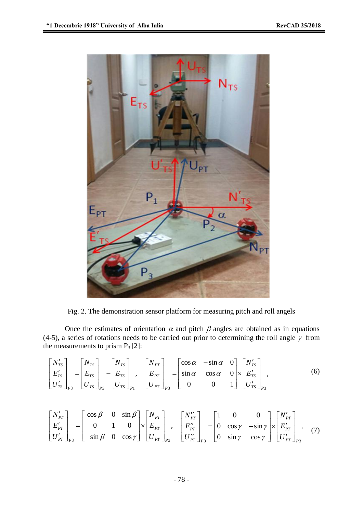

Fig. 2. The demonstration sensor platform for measuring pitch and roll angels

Once the estimates of orientation  $\alpha$  and pitch  $\beta$  angles are obtained as in equations (4-5), a series of rotations needs to be carried out prior to determining the roll angle  $\gamma$  from the measurements to prism  $P_3$  [2]:

$$
\begin{bmatrix}\nN'_{TS} \\
E'_{TS} \\
U'_{TS}\n\end{bmatrix}_{P3} =\n\begin{bmatrix}\nN_{TS} \\
E_{TS} \\
U_{TS}\n\end{bmatrix}_{P3} -\n\begin{bmatrix}\nN_{TS} \\
E_{TS} \\
U_{TS}\n\end{bmatrix}_{P1},\n\begin{bmatrix}\nN_{PT} \\
E_{PT} \\
U_{PT}\n\end{bmatrix}_{P3} =\n\begin{bmatrix}\n\cos\alpha & -\sin\alpha & 0 \\
\sin\alpha & \cos\alpha & 0 \\
0 & 0 & 1\n\end{bmatrix}\n\times\n\begin{bmatrix}\nN'_{TS} \\
E'_{TS} \\
U'_{TS}\n\end{bmatrix}_{P3},
$$
\n(6)

$$
\begin{bmatrix} N'_{PT} \\ E'_{PT} \\ U'_{PT} \end{bmatrix}_{P3} = \begin{bmatrix} \cos \beta & 0 & \sin \beta \\ 0 & 1 & 0 \\ -\sin \beta & 0 & \cos \gamma \end{bmatrix} \times \begin{bmatrix} N_{PT} \\ E_{PT} \\ U_{PT} \end{bmatrix}_{P3}, \quad \begin{bmatrix} N''_{PT} \\ E''_{PT} \\ U''_{PT} \end{bmatrix}_{P3} = \begin{bmatrix} 1 & 0 & 0 \\ 0 & \cos \gamma & -\sin \gamma \\ 0 & \sin \gamma & \cos \gamma \end{bmatrix} \times \begin{bmatrix} N'_{PT} \\ E'_{PT} \\ U'_{PT} \end{bmatrix}_{P3}.
$$
 (7)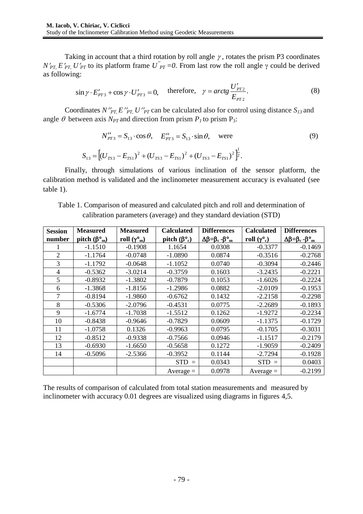Taking in account that a third rotation by roll angle  $\gamma$ , rotates the prism P3 coordinates  $N'_{PT}$ ,  $E'_{PT}$ ,  $U'_{PT}$  to its platform frame  $U''_{PT} = 0$ . From last row the roll angle  $\gamma$  could be derived as following:

$$
\sin \gamma \cdot E'_{PT3} + \cos \gamma \cdot U'_{PT3} = 0, \quad \text{therefore,} \quad \gamma = \arctg \frac{U'_{PT2}}{E_{PT2}}.
$$
 (8)

Coordinates *N''<sub>PT</sub>*, *E''<sub>PT</sub>*, *U''<sub>PT</sub>* can be calculated also for control using distance  $S_{13}$  and angle  $\theta$  between axis  $N_{PT}$  and direction from prism  $P_I$  to prism  $P_3$ :

$$
N''_{PT3} = S_{13} \cdot \cos \theta, \quad E''_{PT3} = S_{13} \cdot \sin \theta, \quad \text{were}
$$
\n
$$
S_{13} = \left[ (U_{TS3} - E_{TS1})^2 + (U_{TS3} - E_{TS1})^2 + (U_{TS3} - E_{TS1})^2 \right]^{\frac{1}{2}}.
$$
\n(9)

Finally, through simulations of various inclination of the sensor platform, the calibration method is validated and the inclinometer measurement accuracy is evaluated (see table 1).

Table 1. Comparison of measured and calculated pitch and roll and determination of calibration parameters (average) and they standard deviation (STD)

| <b>Session</b> | <b>Measured</b>               | <b>Measured</b>     | <b>Calculated</b>           | <b>Differences</b>                   | <b>Calculated</b>           | <b>Differences</b>                   |
|----------------|-------------------------------|---------------------|-----------------------------|--------------------------------------|-----------------------------|--------------------------------------|
| number         | pitch $(\beta^{\circ}{}_{m})$ | roll $(\gamma^o_m)$ | pitch $(\beta^{\circ}_{c})$ | $\Delta \beta = \beta_c - \beta_{m}$ | roll $(\gamma^{\circ}_{c})$ | $\Delta \beta = \beta_c - \beta_{m}$ |
|                | $-1.1510$                     | $-0.1908$           | 1.1654                      | 0.0308                               | $-0.3377$                   | $-0.1469$                            |
| $\overline{2}$ | $-1.1764$                     | $-0.0748$           | $-1.0890$                   | 0.0874                               | $-0.3516$                   | $-0.2768$                            |
| 3              | $-1.1792$                     | $-0.0648$           | $-1.1052$                   | 0.0740                               | $-0.3094$                   | $-0.2446$                            |
| 4              | $-0.5362$                     | $-3.0214$           | $-0.3759$                   | 0.1603                               | $-3.2435$                   | $-0.2221$                            |
| 5              | $-0.8932$                     | $-1.3802$           | $-0.7879$                   | 0.1053                               | $-1.6026$                   | $-0.2224$                            |
| 6              | $-1.3868$                     | $-1.8156$           | $-1.2986$                   | 0.0882                               | $-2.0109$                   | $-0.1953$                            |
| 7              | $-0.8194$                     | $-1.9860$           | $-0.6762$                   | 0.1432                               | $-2.2158$                   | $-0.2298$                            |
| 8              | $-0.5306$                     | $-2.0796$           | $-0.4531$                   | 0.0775                               | $-2.2689$                   | $-0.1893$                            |
| 9              | $-1.6774$                     | $-1.7038$           | $-1.5512$                   | 0.1262                               | $-1.9272$                   | $-0.2234$                            |
| 10             | $-0.8438$                     | $-0.9646$           | $-0.7829$                   | 0.0609                               | $-1.1375$                   | $-0.1729$                            |
| 11             | $-1.0758$                     | 0.1326              | $-0.9963$                   | 0.0795                               | $-0.1705$                   | $-0.3031$                            |
| 12             | $-0.8512$                     | $-0.9338$           | $-0.7566$                   | 0.0946                               | $-1.1517$                   | $-0.2179$                            |
| 13             | $-0.6930$                     | $-1.6650$           | $-0.5658$                   | 0.1272                               | $-1.9059$                   | $-0.2409$                            |
| 14             | $-0.5096$                     | $-2.5366$           | $-0.3952$                   | 0.1144                               | $-2.7294$                   | $-0.1928$                            |
|                |                               |                     | <b>STD</b><br>$\equiv$      | 0.0343                               | $STD =$                     | 0.0403                               |
|                |                               |                     | $Average =$                 | 0.0978                               | $Average =$                 | $-0.2199$                            |

The results of comparison of calculated from total station measurements and measured by inclinometer with accuracy 0.01 degrees are visualized using diagrams in figures 4,5.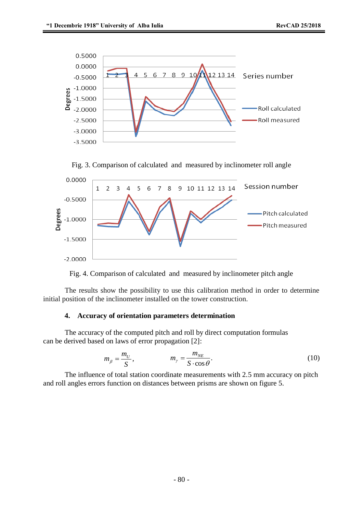





Fig. 4. Comparison of calculated and measured by inclinometer pitch angle

The results show the possibility to use this calibration method in order to determine initial position of the inclinometer installed on the tower construction.

#### **4. Accuracy of orientation parameters determination**

The accuracy of the computed pitch and roll by direct computation formulas can be derived based on laws of error propagation [2]:

$$
m_{\beta} = \frac{m_U}{S}, \qquad m_{\gamma} = \frac{m_{NE}}{S \cdot \cos \theta}.
$$
 (10)

The influence of total station coordinate measurements with 2.5 mm accuracy on pitch and roll angles errors function on distances between prisms are shown on figure 5.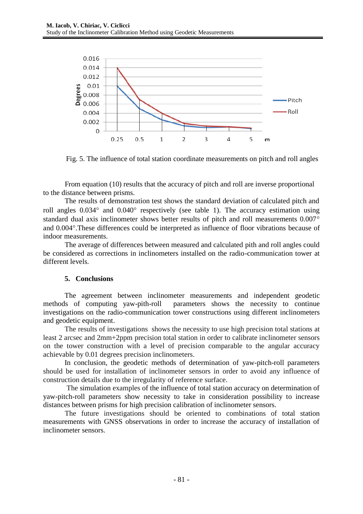

Fig. 5. The influence of total station coordinate measurements on pitch and roll angles

From equation (10) results that the accuracy of pitch and roll are inverse proportional to the distance between prisms.

The results of demonstration test shows the standard deviation of calculated pitch and roll angles  $0.034^{\circ}$  and  $0.040^{\circ}$  respectively (see table 1). The accuracy estimation using standard dual axis inclinometer shows better results of pitch and roll measurements 0.007° and 0.004°. These differences could be interpreted as influence of floor vibrations because of indoor measurements.

The average of differences between measured and calculated pith and roll angles could be considered as corrections in inclinometers installed on the radio-communication tower at different levels.

## **5. Conclusions**

The agreement between inclinometer measurements and independent geodetic methods of computing yaw-pith-roll parameters shows the necessity to continue investigations on the radio-communication tower constructions using different inclinometers and geodetic equipment.

The results of investigations shows the necessity to use high precision total stations at least 2 arcsec and 2mm+2ppm precision total station in order to calibrate inclinometer sensors on the tower construction with a level of precision comparable to the angular accuracy achievable by 0.01 degrees precision inclinometers.

In conclusion, the geodetic methods of determination of yaw-pitch-roll parameters should be used for installation of inclinometer sensors in order to avoid any influence of construction details due to the irregularity of reference surface.

The simulation examples of the influence of total station accuracy on determination of yaw-pitch-roll parameters show necessity to take in consideration possibility to increase distances between prisms for high precision calibration of inclinometer sensors.

The future investigations should be oriented to combinations of total station measurements with GNSS observations in order to increase the accuracy of installation of inclinometer sensors.